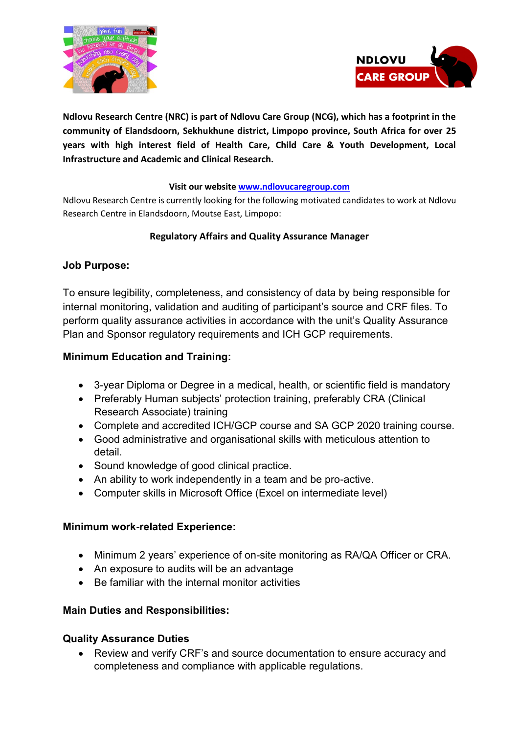



**Ndlovu Research Centre (NRC) is part of Ndlovu Care Group (NCG), which has a footprint in the community of Elandsdoorn, Sekhukhune district, Limpopo province, South Africa for over 25 years with high interest field of Health Care, Child Care & Youth Development, Local Infrastructure and Academic and Clinical Research.**

#### **Visit our websit[e www.ndlovucaregroup.com](http://www.ndlovucaregroup.com/)**

Ndlovu Research Centre is currently looking for the following motivated candidates to work at Ndlovu Research Centre in Elandsdoorn, Moutse East, Limpopo:

## **Regulatory Affairs and Quality Assurance Manager**

# **Job Purpose:**

To ensure legibility, completeness, and consistency of data by being responsible for internal monitoring, validation and auditing of participant's source and CRF files. To perform quality assurance activities in accordance with the unit's Quality Assurance Plan and Sponsor regulatory requirements and ICH GCP requirements.

## **Minimum Education and Training:**

- 3-year Diploma or Degree in a medical, health, or scientific field is mandatory
- Preferably Human subjects' protection training, preferably CRA (Clinical Research Associate) training
- Complete and accredited ICH/GCP course and SA GCP 2020 training course.
- Good administrative and organisational skills with meticulous attention to detail.
- Sound knowledge of good clinical practice.
- An ability to work independently in a team and be pro-active.
- Computer skills in Microsoft Office (Excel on intermediate level)

#### **Minimum work-related Experience:**

- Minimum 2 years' experience of on-site monitoring as RA/QA Officer or CRA.
- An exposure to audits will be an advantage
- Be familiar with the internal monitor activities

# **Main Duties and Responsibilities:**

#### **Quality Assurance Duties**

 Review and verify CRF's and source documentation to ensure accuracy and completeness and compliance with applicable regulations.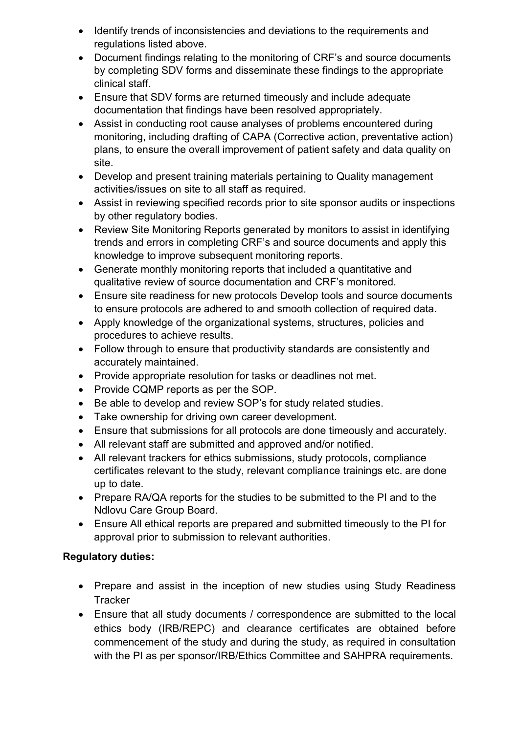- Identify trends of inconsistencies and deviations to the requirements and regulations listed above.
- Document findings relating to the monitoring of CRF's and source documents by completing SDV forms and disseminate these findings to the appropriate clinical staff.
- Ensure that SDV forms are returned timeously and include adequate documentation that findings have been resolved appropriately.
- Assist in conducting root cause analyses of problems encountered during monitoring, including drafting of CAPA (Corrective action, preventative action) plans, to ensure the overall improvement of patient safety and data quality on site.
- Develop and present training materials pertaining to Quality management activities/issues on site to all staff as required.
- Assist in reviewing specified records prior to site sponsor audits or inspections by other regulatory bodies.
- Review Site Monitoring Reports generated by monitors to assist in identifying trends and errors in completing CRF's and source documents and apply this knowledge to improve subsequent monitoring reports.
- Generate monthly monitoring reports that included a quantitative and qualitative review of source documentation and CRF's monitored.
- Ensure site readiness for new protocols Develop tools and source documents to ensure protocols are adhered to and smooth collection of required data.
- Apply knowledge of the organizational systems, structures, policies and procedures to achieve results.
- Follow through to ensure that productivity standards are consistently and accurately maintained.
- Provide appropriate resolution for tasks or deadlines not met.
- Provide CQMP reports as per the SOP.
- Be able to develop and review SOP's for study related studies.
- Take ownership for driving own career development.
- Ensure that submissions for all protocols are done timeously and accurately.
- All relevant staff are submitted and approved and/or notified.
- All relevant trackers for ethics submissions, study protocols, compliance certificates relevant to the study, relevant compliance trainings etc. are done up to date.
- Prepare RA/QA reports for the studies to be submitted to the PI and to the Ndlovu Care Group Board.
- Ensure All ethical reports are prepared and submitted timeously to the PI for approval prior to submission to relevant authorities.

# **Regulatory duties:**

- Prepare and assist in the inception of new studies using Study Readiness **Tracker**
- Ensure that all study documents / correspondence are submitted to the local ethics body (IRB/REPC) and clearance certificates are obtained before commencement of the study and during the study, as required in consultation with the PI as per sponsor/IRB/Ethics Committee and SAHPRA requirements.